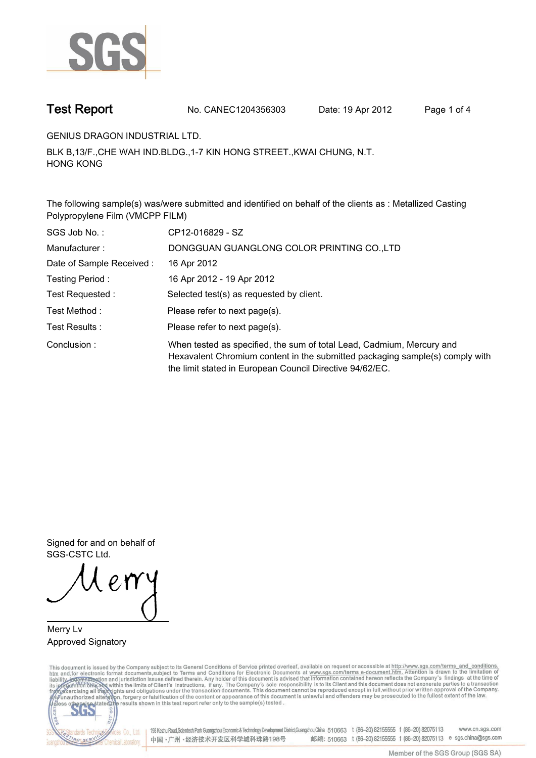

**Test Report. No. CANEC1204356303 Date: 19 Apr 2012. Page 1 of 4.**

**GENIUS DRAGON INDUSTRIAL LTD..**

**BLK B,13/F.,CHE WAH IND.BLDG.,1-7 KIN HONG STREET.,KWAI CHUNG, N.T. HONG KONG.**

**The following sample(s) was/were submitted and identified on behalf of the clients as : Metallized Casting Polypropylene Film (VMCPP FILM).**

| SGS Job No.:             | CP12-016829 - SZ                                                                                                                                                                                                  |
|--------------------------|-------------------------------------------------------------------------------------------------------------------------------------------------------------------------------------------------------------------|
| Manufacturer:            | DONGGUAN GUANGLONG COLOR PRINTING CO., LTD                                                                                                                                                                        |
| Date of Sample Received: | 16 Apr 2012                                                                                                                                                                                                       |
| Testing Period :         | 16 Apr 2012 - 19 Apr 2012                                                                                                                                                                                         |
| Test Requested :         | Selected test(s) as requested by client.                                                                                                                                                                          |
| Test Method :            | Please refer to next page(s).                                                                                                                                                                                     |
| Test Results :           | Please refer to next page(s).                                                                                                                                                                                     |
| Conclusion:              | When tested as specified, the sum of total Lead, Cadmium, Mercury and<br>Hexavalent Chromium content in the submitted packaging sample(s) comply with<br>the limit stated in European Council Directive 94/62/EC. |

**Signed for and on behalf of SGS-CSTC Ltd..**

**Merry Lv. Approved Signatory.**

This document is issued by the Company subject to its General Conditions of Service printed overleaf, available on request or accessible at http://www.sgs.com/terms\_and\_conditions.<br>htm\_and,for electronic format documents,s



198 Kezhu Road, Scientech Park Guangzhou Economic & Technology Development District, Guangzhou, China 510663 t (86-20) 82155555 f (86-20) 82075113 www.cn.sgs.com 邮编: 510663 t (86-20) 82155555 f (86-20) 82075113 e sgs.china@sgs.com 中国·广州·经济技术开发区科学城科珠路198号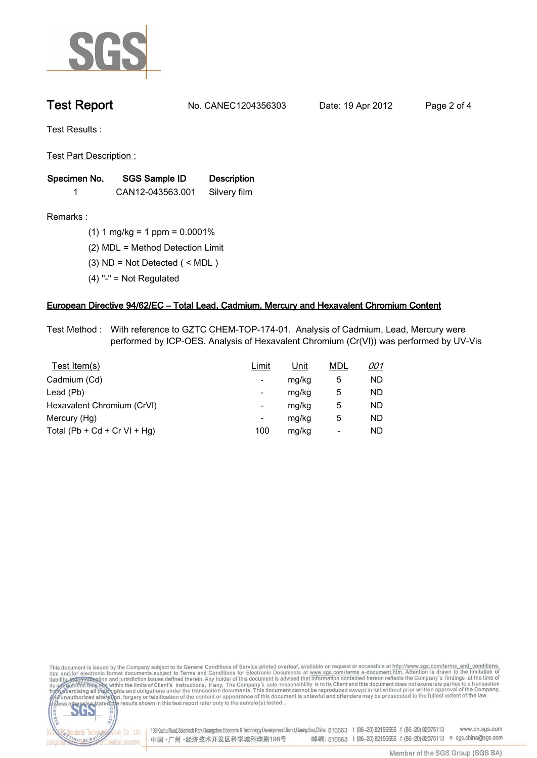

**Test Report. No. CANEC1204356303 Date: 19 Apr 2012. Page 2 of 4.**

**Test Results :.**

**Test Part Description :.**

| Specimen No. | SGS Sample ID    | <b>Description</b> |  |
|--------------|------------------|--------------------|--|
|              | CAN12-043563.001 | Silvery film       |  |

lards Teo

NG SERY

Chemical Laboratory.

**Remarks :.(1) 1 mg/kg = 1 ppm = 0.0001%.**

**(2) MDL = Method Detection Limit.**

- **(3) ND = Not Detected ( < MDL ).**
- **(4) "-" = Not Regulated.**

## **European Directive 94/62/EC – Total Lead, Cadmium, Mercury and Hexavalent Chromium Content.**

**Test Method :. With reference to GZTC CHEM-TOP-174-01. Analysis of Cadmium, Lead, Mercury were performed by ICP-OES. Analysis of Hexavalent Chromium (Cr(VI)) was performed by UV-Vis.**

| Test Item(s)                 | Limit | <u>Unit</u> | <b>MDL</b> | <u>001</u> |
|------------------------------|-------|-------------|------------|------------|
| Cadmium (Cd)                 | -     | mg/kg       | 5          | ND         |
| Lead (Pb)                    | -     | mg/kg       | 5          | ND         |
| Hexavalent Chromium (CrVI)   | -     | mg/kg       | 5          | ND         |
| Mercury (Hg)                 | -     | mg/kg       | 5          | ND         |
| Total (Pb + Cd + Cr VI + Hg) | 100   | mg/kg       | -          | ND         |



Cos Co., Ltd. 198 Kezhu Road,Scientech Park Guangzhou Economic & Technology Development District,Guangzhou,China 510663 t (86-20) 82155555 f (86-20) 82075113 www.cn.sgs.com 邮编: 510663 t (86-20) 82155555 f (86-20) 82075113 e sgs.china@sgs.com 中国·广州·经济技术开发区科学城科珠路198号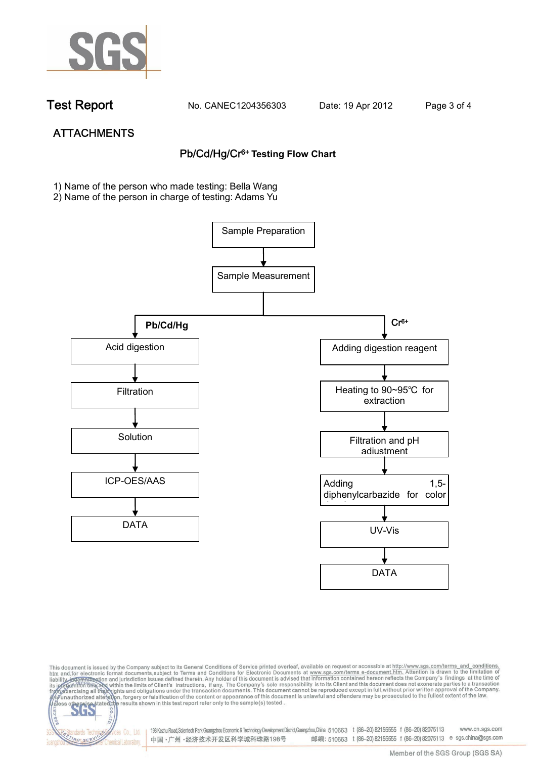

dards Ter

NG SER

**Chemical Laboratory** 

**Test Report. No. CANEC1204356303 Date: 19 Apr 2012. Page 3 of 4.**

# **ATTACHMENTS Pb/Cd/Hg/Cr6+ Testing Flow Chart**

**1)** Name of the person who made testing: Bella Wang

2) Name of the person in charge of testing: Adams Yu





198 Kezhu Road,Scientech Park Guangzhou Economic & Technology Development District,Guangzhou,China 510663 t (86-20) 82155555 f (86-20) 82075113 www.cn.sgs.com 邮编: 510663 t (86-20) 82155555 f (86-20) 82075113 e sgs.china@sgs.com 中国·广州·经济技术开发区科学城科珠路198号